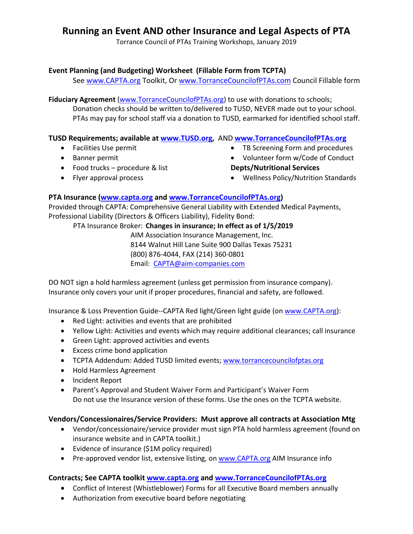# **Running an Event AND other Insurance and Legal Aspects of PTA**

Torrance Council of PTAs Training Workshops, January 2019

## **Event Planning (and Budgeting) Worksheet (Fillable Form from TCPTA)**

See www.CAPTA.org Toolkit, Or www.TorranceCouncilofPTAs.com Council Fillable form

**Fiduciary Agreement** (www.TorranceCouncilofPTAs.org) to use with donations to schools; Donation checks should be written to/delivered to TUSD, NEVER made out to your school. PTAs may pay for school staff via a donation to TUSD, earmarked for identified school staff.

### **TUSD Requirements; available at www.TUSD.org,** AND **www.TorranceCouncilofPTAs.org**

- Facilities Use permit
- **•** Banner permit
- Food trucks procedure & list
- Flyer approval process
- TB Screening Form and procedures
- Volunteer form w/Code of Conduct **Depts/Nutritional Services**
- Wellness Policy/Nutrition Standards

## **PTA Insurance (www.capta.org and www.TorranceCouncilofPTAs.org)**

Provided through CAPTA: Comprehensive General Liability with Extended Medical Payments, Professional Liability (Directors & Officers Liability), Fidelity Bond:

PTA Insurance Broker: **Changes in insurance; In effect as of 1/5/2019**

AIM Association Insurance Management, Inc. 8144 Walnut Hill Lane Suite 900 Dallas Texas 75231 (800) 876-4044, FAX (214) 360-0801 Email: CAPTA@aim-companies.com

DO NOT sign a hold harmless agreement (unless get permission from insurance company). Insurance only covers your unit if proper procedures, financial and safety, are followed.

Insurance & Loss Prevention Guide--CAPTA Red light/Green light guide (on www.CAPTA.org):

- Red Light: activities and events that are prohibited
- Yellow Light: Activities and events which may require additional clearances; call insurance
- Green Light: approved activities and events
- Excess crime bond application
- TCPTA Addendum: Added TUSD limited events; www.torrancecouncilofptas.org
- Hold Harmless Agreement
- Incident Report
- Parent's Approval and Student Waiver Form and Participant's Waiver Form Do not use the Insurance version of these forms. Use the ones on the TCPTA website.

#### **Vendors/Concessionaires/Service Providers: Must approve all contracts at Association Mtg**

- Vendor/concessionaire/service provider must sign PTA hold harmless agreement (found on insurance website and in CAPTA toolkit.)
- Evidence of insurance (\$1M policy required)
- Pre-approved vendor list, extensive listing, on www.CAPTA.org AIM Insurance info

#### **Contracts; See CAPTA toolkit www.capta.org and www.TorranceCouncilofPTAs.org**

- Conflict of Interest (Whistleblower) Forms for all Executive Board members annually
- Authorization from executive board before negotiating